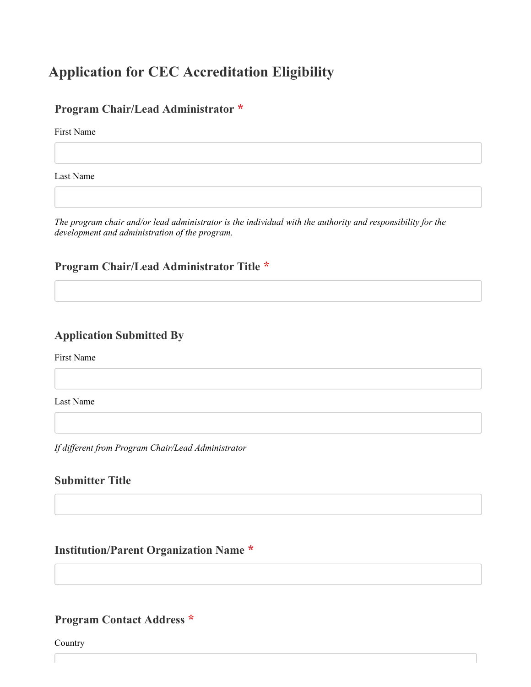# **Application for CEC Accreditation Eligibility**

### **Program Chair/Lead Administrator \***

First Name

Last Name

*The program chair and/or lead administrator is the individual with the authority and responsibility for the development and administration of the program.*

# **Program Chair/Lead Administrator Title \***

### **Application Submitted By**

First Name

Last Name

*If different from Program Chair/Lead Administrator*

### **Submitter Title**

### **Institution/Parent Organization Name \***

#### **Program Contact Address \***

Country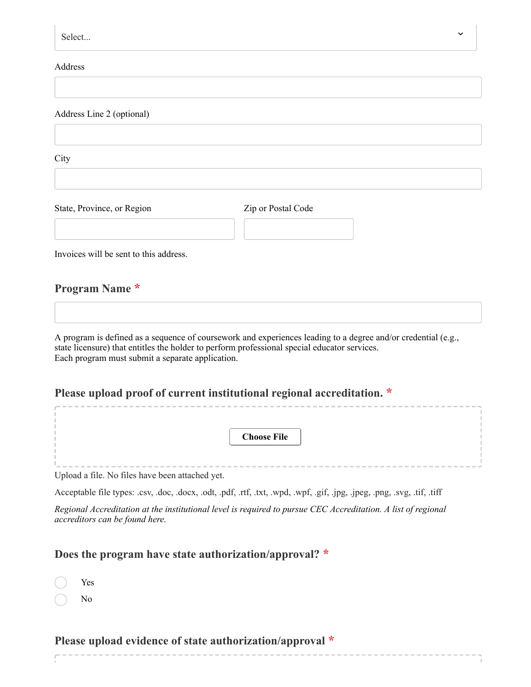| Select                                 |                                                                                                               |  |
|----------------------------------------|---------------------------------------------------------------------------------------------------------------|--|
| Address                                |                                                                                                               |  |
|                                        |                                                                                                               |  |
| Address Line 2 (optional)              |                                                                                                               |  |
| City                                   |                                                                                                               |  |
| State, Province, or Region             | Zip or Postal Code                                                                                            |  |
| Invoices will be sent to this address. |                                                                                                               |  |
| <b>Program Name *</b>                  |                                                                                                               |  |
|                                        | A program is defined as a sequence of coursework and experiences leading to a degree and/or credential (e.g., |  |

Each program must submit a separate application.

# **Please upload proof of current institutional regional accreditation. \***

| <b>Choose File</b>                              |  |
|-------------------------------------------------|--|
|                                                 |  |
|                                                 |  |
|                                                 |  |
|                                                 |  |
| Upload a file. No files have been attached yet. |  |

Acceptable file types: .csv, .doc, .docx, .odt, .pdf, .rtf, .txt, .wpd, .wpf, .gif, .jpg, .jpeg, .png, .svg, .tif, .tiff *Regional Accreditation at the institutional level is required to pursue CEC Accreditation. A list of regional accreditors can be found [here.](https://www.chea.org/regional-accrediting-organizations)*

# **Does the program have state authorization/approval? \***

| Yes |
|-----|
| No  |

## **Please upload evidence of state authorization/approval \***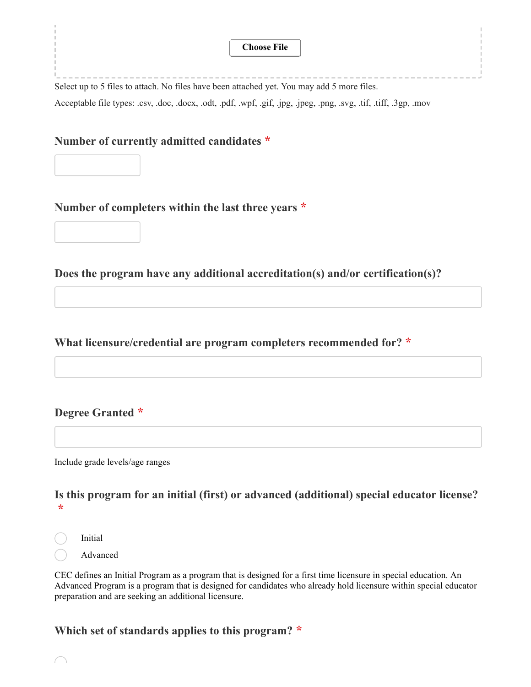|                                                    | <b>Choose File</b>                                                                                                 |
|----------------------------------------------------|--------------------------------------------------------------------------------------------------------------------|
|                                                    |                                                                                                                    |
|                                                    | Select up to 5 files to attach. No files have been attached yet. You may add 5 more files.                         |
|                                                    | Acceptable file types: .csv, .doc, .docx, .odt, .pdf, .wpf, .gif, .jpg, .jpeg, .png, .svg, .tif, .tiff, .3gp, .mov |
|                                                    |                                                                                                                    |
| Number of currently admitted candidates *          |                                                                                                                    |
|                                                    |                                                                                                                    |
|                                                    |                                                                                                                    |
| Number of completers within the last three years * |                                                                                                                    |
|                                                    |                                                                                                                    |
|                                                    |                                                                                                                    |
|                                                    |                                                                                                                    |

**Does the program have any additional accreditation(s) and/or certification(s)?**

**What licensure/credential are program completers recommended for? \***

## **Degree Granted \***

Include grade levels/age ranges

### **Is this program for an initial (first) or advanced (additional) special educator license? \***

Initial

Advanced

CEC defines an Initial Program as a program that is designed for a first time licensure in special education. An Advanced Program is a program that is designed for candidates who already hold licensure within special educator preparation and are seeking an additional licensure.

### **Which set of standards applies to this program? \***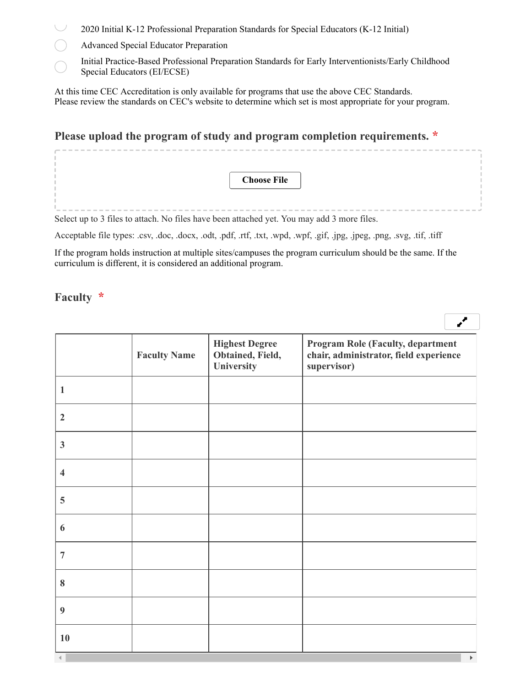- 2020 Initial K-12 Professional Preparation Standards for Special Educators (K-12 Initial)
- Advanced Special Educator Preparation
- Initial Practice-Based Professional Preparation Standards for Early Interventionists/Early Childhood Special Educators (EI/ECSE)

At this time CEC Accreditation is only available for programs that use the above CEC Standards. Please review the standards on [CEC's website](https://exceptionalchildren.org/standards) to determine which set is most appropriate for your program.

### **Please upload the program of study and program completion requirements. \***

|  |  |  |  |  |  |  |  | <b>Choose File</b> |  |  |  |  |  |  |  |  |  |
|--|--|--|--|--|--|--|--|--------------------|--|--|--|--|--|--|--|--|--|
|  |  |  |  |  |  |  |  |                    |  |  |  |  |  |  |  |  |  |
|  |  |  |  |  |  |  |  |                    |  |  |  |  |  |  |  |  |  |

Select up to 3 files to attach. No files have been attached yet. You may add 3 more files.

Acceptable file types: .csv, .doc, .docx, .odt, .pdf, .rtf, .txt, .wpd, .wpf, .gif, .jpg, .jpeg, .png, .svg, .tif, .tiff

If the program holds instruction at multiple sites/campuses the program curriculum should be the same. If the curriculum is different, it is considered an additional program.

 $\mathbf{z}^{\prime}$ 

### **Faculty \***

**Faculty Name Highest Degree Obtained, Field, University Program Role (Faculty, department chair, administrator, field experience supervisor) 1 2 3 4 5 6 7 8 9 10**